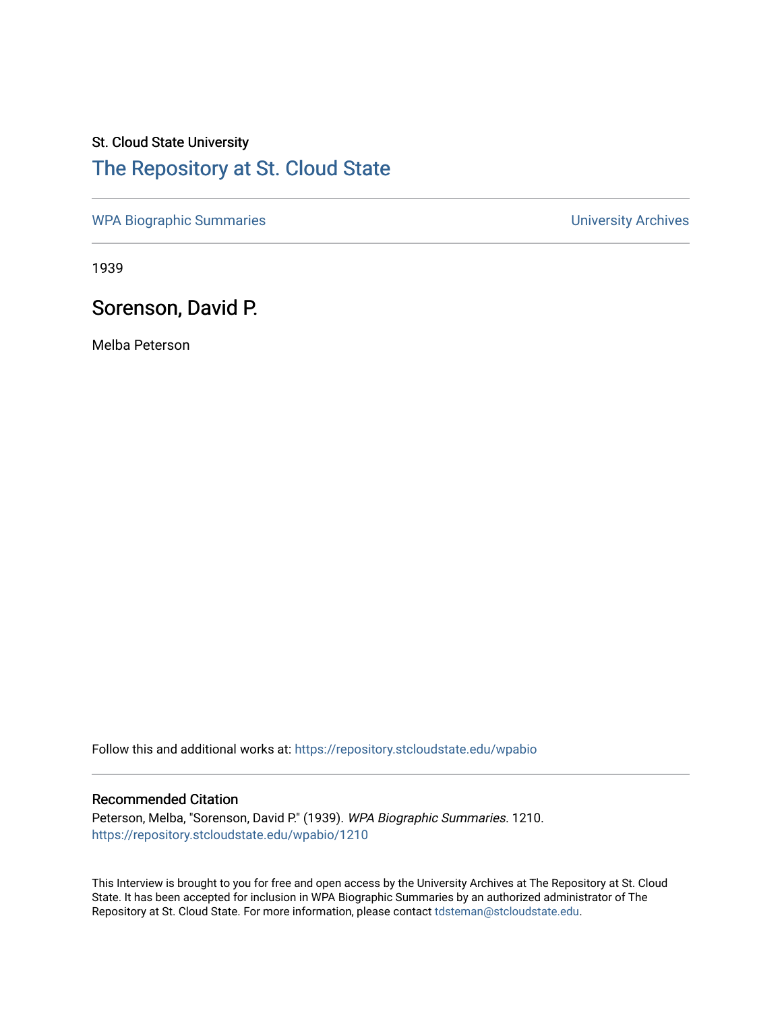## St. Cloud State University [The Repository at St. Cloud State](https://repository.stcloudstate.edu/)

[WPA Biographic Summaries](https://repository.stcloudstate.edu/wpabio) **WPA Biographic Summaries University Archives** 

1939

## Sorenson, David P.

Melba Peterson

Follow this and additional works at: [https://repository.stcloudstate.edu/wpabio](https://repository.stcloudstate.edu/wpabio?utm_source=repository.stcloudstate.edu%2Fwpabio%2F1210&utm_medium=PDF&utm_campaign=PDFCoverPages) 

## Recommended Citation

Peterson, Melba, "Sorenson, David P." (1939). WPA Biographic Summaries. 1210. [https://repository.stcloudstate.edu/wpabio/1210](https://repository.stcloudstate.edu/wpabio/1210?utm_source=repository.stcloudstate.edu%2Fwpabio%2F1210&utm_medium=PDF&utm_campaign=PDFCoverPages) 

This Interview is brought to you for free and open access by the University Archives at The Repository at St. Cloud State. It has been accepted for inclusion in WPA Biographic Summaries by an authorized administrator of The Repository at St. Cloud State. For more information, please contact [tdsteman@stcloudstate.edu.](mailto:tdsteman@stcloudstate.edu)